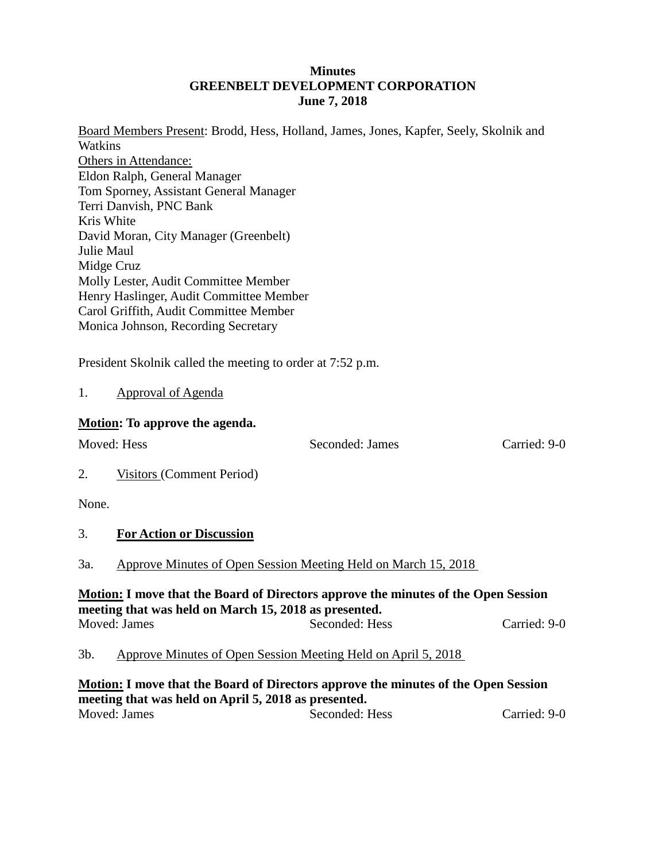### **Minutes GREENBELT DEVELOPMENT CORPORATION June 7, 2018**

Board Members Present: Brodd, Hess, Holland, James, Jones, Kapfer, Seely, Skolnik and **Watkins** Others in Attendance: Eldon Ralph, General Manager Tom Sporney, Assistant General Manager Terri Danvish, PNC Bank Kris White David Moran, City Manager (Greenbelt) Julie Maul Midge Cruz Molly Lester, Audit Committee Member Henry Haslinger, Audit Committee Member Carol Griffith, Audit Committee Member Monica Johnson, Recording Secretary

President Skolnik called the meeting to order at 7:52 p.m.

## 1. Approval of Agenda

## **Motion: To approve the agenda.**

Moved: Hess Seconded: James Carried: 9-0

2. Visitors (Comment Period)

None.

## 3. **For Action or Discussion**

3a. Approve Minutes of Open Session Meeting Held on March 15, 2018

## **Motion: I move that the Board of Directors approve the minutes of the Open Session meeting that was held on March 15, 2018 as presented.** Moved: James Seconded: Hess Carried: 9-0

# 3b. Approve Minutes of Open Session Meeting Held on April 5, 2018

**Motion: I move that the Board of Directors approve the minutes of the Open Session meeting that was held on April 5, 2018 as presented.** Moved: James Seconded: Hess Carried: 9-0